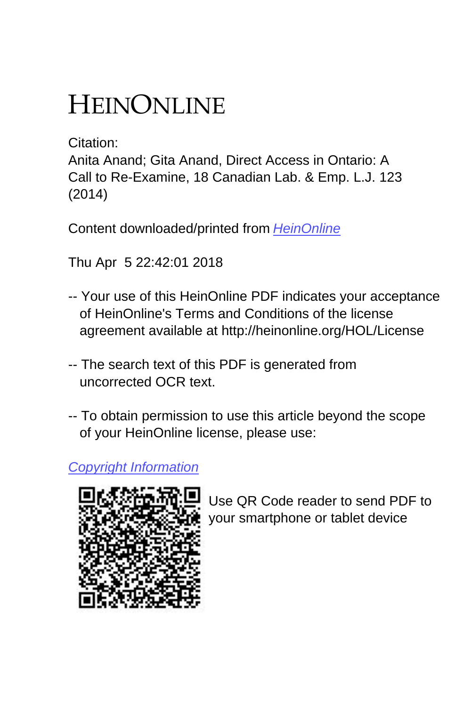# HEINONLINE

Citation:

Anita Anand; Gita Anand, Direct Access in Ontario: A Call to Re-Examine, 18 Canadian Lab. & Emp. L.J. 123 (2014)

Content downloaded/printed from [HeinOnline](http://heinonline.org/HOL/Page?handle=hein.journals/canlemj18&collection=journals&id=129&startid=&endid=150)

Thu Apr 5 22:42:01 2018

- -- Your use of this HeinOnline PDF indicates your acceptance of HeinOnline's Terms and Conditions of the license agreement available at http://heinonline.org/HOL/License
- -- The search text of this PDF is generated from uncorrected OCR text.
- -- To obtain permission to use this article beyond the scope of your HeinOnline license, please use:

# [Copyright Information](https://www.copyright.com/ccc/basicSearch.do?operation=go&searchType=0&lastSearch=simple&all=on&titleOrStdNo=1196-7889)



 Use QR Code reader to send PDF to your smartphone or tablet device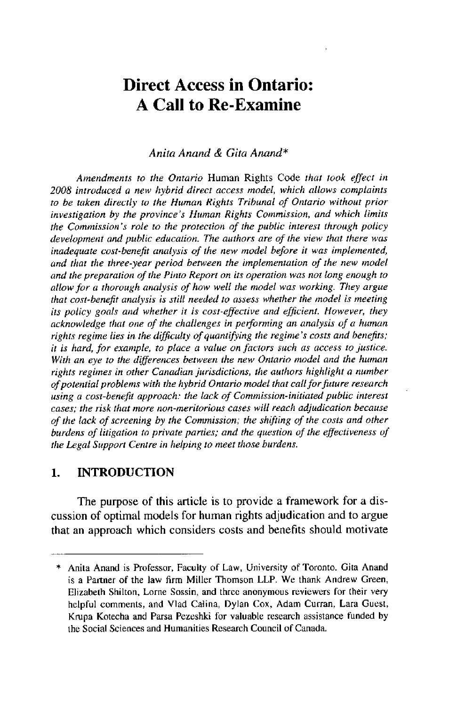# **Direct Access in Ontario: A Call to Re-Examine**

#### *Anita Anand & Gita Anand\**

*Amendments to* the *Ontario* Human Rights Code *that took effect in 2008 introduced a new hybrid direct access model, which allows complaints to be taken directly to the Human Rights Tribunal of Ontario without prior investigation by the province's Human Rights Commission, and which limits the Commission's role to the protection of the public interest through policy development and public education. The authors are of the view that there was inadequate cost-benefit analysis of the new model before it was implemented, and that the three-year period between the implementation of the new model and the preparation of the Pinto Report on its operation was not long enough to allow for a thorough analysis of how well the model was working. They argue that cost-benefit analysis is still needed to assess whether the model is meeting its policy goals and whether it is cost-effective and efficient. However, they acknowledge that one of the challenges in performing an analysis of a human rights regime lies in the dificulty of quantifying the regime's costs and benefits; it is hard, for example, to place a value on fictors such as access to justice. With an eye to the differences between the new Ontario model and the human rights regimes in other Canadian jurisdictions, the authors highlight a number of potential problems with the hybrid Ontario model that call for future research using a cost-benefit approach: the lack of Commission-initiated public interest cases; the risk that more non-meritorious cases will reach adjudication because of the lack of screening by the Commission; the shifting of the costs and other burdens of litigation to private parties; and the question of the effectiveness of the Legal Support Centre in helping to meet those burdens.*

#### **1. INTRODUCTION**

The purpose of this article is to provide a framework for a discussion of optimal models for human rights adjudication and to argue that an approach which considers costs and benefits should motivate

<sup>\*</sup> Anita Anand is Professor, Faculty of Law, University of Toronto. Gita Anand is a Partner of the law firm Miller Thomson LLP. We thank Andrew Green, Elizabeth Shilton, Lorne Sossin, and three anonymous reviewers for their very helpful comments, and Vlad Calina, Dylan Cox, Adam Curran, Lara Guest, Krupa Kotecha and Parsa Pezeshki for valuable research assistance funded **by** the Social Sciences and Humanities Research Council of Canada.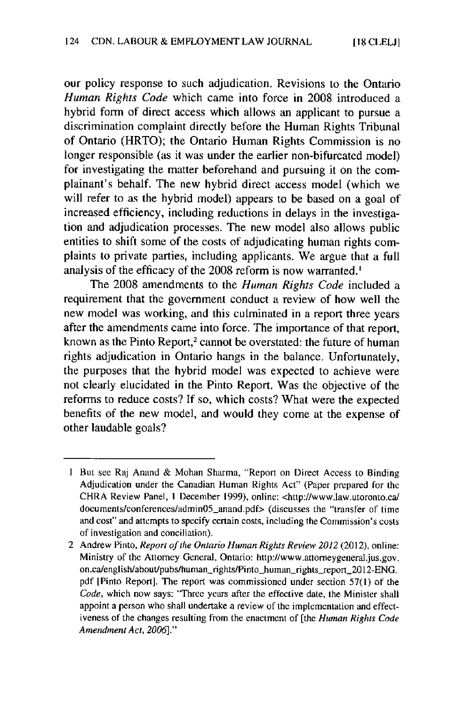**our** policy response to such adjudication. Revisions to the Ontario *Human Rights Code* which came into force in **2008** introduced a hybrid form of direct access which allows an applicant to pursue a discrimination complaint directly before the Human Rights Tribunal of Ontario (HRTO); the Ontario Human Rights Commission is no longer responsible (as it was under the earlier non-bifurcated model) for investigating the matter beforehand and pursuing it on the complainant's behalf. The new hybrid direct access model (which we will refer to as the hybrid model) appears to be based on a goal of increased efficiency, including reductions in delays in the investigation and adjudication processes. The new model also allows public entities to shift some of the costs of adjudicating human rights complaints to private parties, including applicants. We argue that a full analysis of the efficacy of the **2008** reform is now warranted.'

The **2008** amendments to the *Human Rights Code* included a requirement that the government conduct a review of how well the new model was working, and this culminated in a report three years after the amendments came into force. The importance of that report, known as the Pinto Report,<sup>2</sup> cannot be overstated: the future of human rights adjudication in Ontario hangs in the balance. Unfortunately, the purposes that the hybrid model was expected to achieve were not clearly elucidated in the Pinto Report. Was the objective of the reforms to reduce costs? If so, which costs? What were the expected benefits of the new model, and would they come at the expense of other laudable goals?

**<sup>I</sup>**But see Raj Anand **&** Mohan Sharma, "Report on Direct Access to Binding Adjudication under the Canadian Human Rights Act" (Paper prepared for the CHRA Review Panel, **I** December **1999),** online: <http://www.law.utoronto.cal documents/conferences/adminO5\_anand.pdf> (discusses the "transfer **of** time and cost" and attempts to specify certain costs, including the Commission's costs of investigation and conciliation).

<sup>2</sup> Andrew Pinto, *Report of the Ontario Human Rights Review 2012* (2012), online: Ministry of the Attorney General. Ontario: http://www.attorneygeneral.jus.gov. on.ca/english/about/pubs/human\_rights/Pinto\_human\_rights\_report\_2012-ENG. **pdf** [Pinto Report]. The report was commissioned under section **57(I)** of the Code, which now says: "Three years after the effective date, the Minister shall appoint a person who shall undertake a review of the implementation and effectiveness of the changes resulting from the enactment of [the *Human Rights Code Amendment Act, 2006]."*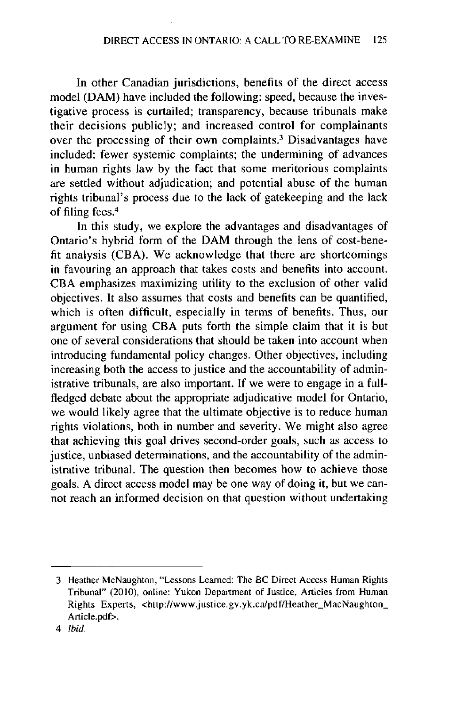In other Canadian jurisdictions, benefits of the direct access model (DAM) have included the following: speed, because the investigative process is curtailed; transparency, because tribunals make their decisions publicly; and increased control for complainants over the processing of their own complaints? Disadvantages have included: fewer systemic complaints; the undermining of advances in human rights law **by** the fact that some meritorious complaints are settled without adjudication; and potential abuse of the human rights tribunal's process due to the lack of gatekeeping and the lack of filing fees.<sup>4</sup>

In this study, we explore the advantages and disadvantages of Ontario's hybrid form of the DAM through the lens of cost-benefit analysis **(CBA).** We acknowledge that there are shortcomings in favouring an approach that takes costs and benefits into account. **CBA** emphasizes maximizing utility to the exclusion of other valid objectives. It also assumes that costs and benefits can be quantified, which is often difficult, especially in terms of benefits. Thus, our argument for using **CBA** puts forth the simple claim that it is but one of several considerations that should be taken into account when introducing fundamental policy changes. Other objectives, including increasing both the access to justice and the accountability of administrative tribunals, are also important. **If** we were to engage in a fullfledged debate about the appropriate adjudicative model for Ontario, we would likely agree that the ultimate objective is to reduce human rights violations, both in number and severity. We might also agree that achieving this goal drives second-order goals, such as access to justice, unbiased determinations, and the accountability of the administrative tribunal. The question then becomes how to achieve those goals. **A** direct access model may be one way of doing it, but we cannot reach an informed decision on that question without undertaking

**<sup>3</sup>** Heather MeNaughton, "Lessons Learned: The **BC** Direct Access Human Rights Tribunal" (2010), online: Yukon Department of Justice, Articles from Human Rights Experts, <http://www.justice.gv.yk.ca/pdf/Heather\_MacNaughton\_ Article.pdf>.

<sup>4</sup> Ibid.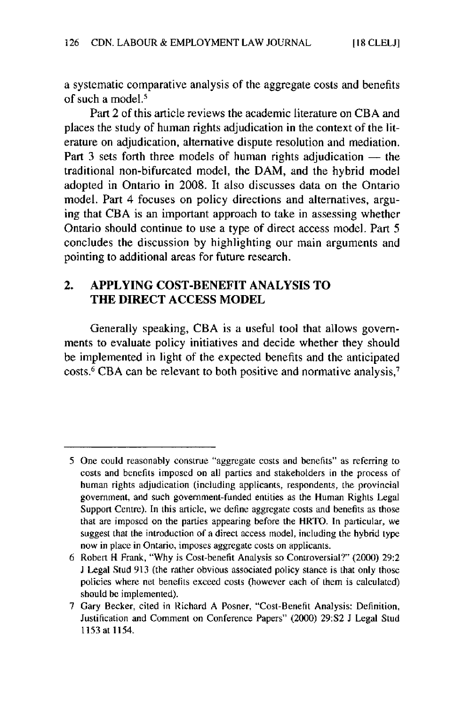a systematic comparative analysis of the aggregate costs and benefits of such a model.<sup>5</sup>

Part 2 of this article reviews the academic literature on **CBA** and places the study of human rights adjudication in the context of the literature on adjudication, alternative dispute resolution and mediation. Part 3 sets forth three models of human rights adjudication - the traditional non-bifurcated model, the DAM, and the hybrid model adopted in Ontario in **2008.** It also discusses data on the Ontario model. Part 4 focuses on policy directions and alternatives, arguing that **CBA** is an important approach to take in assessing whether Ontario should continue to use a type of direct access model. Part **<sup>5</sup>** concludes the discussion **by** highlighting our main arguments and pointing to additional areas for future research.

# **2. APPLYING COST-BENEFIT ANALYSIS TO THE DIRECT ACCESS MODEL**

Generally speaking, **CBA is a useful tool that allows** governments to evaluate policy initiatives and decide whether they should be implemented in light of the expected benefits and the anticipated costs.<sup>6</sup>**CBA** can be relevant to both positive and normative **analysis,**

**<sup>5</sup>** One could reasonably construe "aggregate costs and benefits" as referring to costs and benefits imposed on all parties and stakeholders in the process of human rights adjudication (including applicants, respondents, the provincial government, and such government-funded entities as the Human Rights Legal Support Centre). In this article, we define aggregate costs and benefits as those that are imposed on the parties appearing before the HRTO. In particular, we suggest that the introduction of a direct access model, including the hybrid type now in place in Ontario, imposes aggregate costs on applicants.

**<sup>6</sup>** Robert H Frank, **"Why** is Cost-benefit Analysis so Controversial?" (2000) **29:2 <sup>J</sup>**Legal Stud **913** (the rather obvious associated policy stance is that only those policies where net benefits exceed costs (however each of them is calculated) should **be** implemented).

**<sup>7</sup>** Gary Becker, cited in Richard **A** Posner, "Cost-Benefit Analysis: Definition, Justification and Comment on Conference Papers" (2000) **29:S2 J** Legal Stud **1153** at **1154.**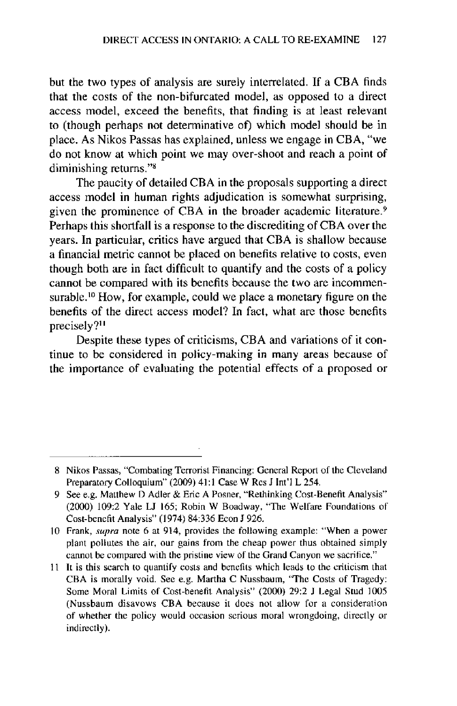but the two types of analysis are surely interrelated. **If** a **CBA** finds that the costs of the non-bifurcated model, as opposed to a direct access model, exceed the benefits, that finding is at least relevant to (though perhaps not determinative of) which model should be in place. As Nikos Passas has explained, unless we engage in **CBA,** "we do not know at which point we may over-shoot and reach a point of diminishing returns."<sup>8</sup>

The paucity of detailed **CBA** in the proposals supporting a direct access model in human rights adjudication is somewhat surprising, given the prominence of **CBA** in the broader academic literature.<sup>9</sup> Perhaps this shortfall is a response to the discrediting of **CRA** over the years. In particular, critics have argued that **CBA** is shallow because a financial metric cannot be placed on benefits relative to costs, even though both are in fact difficult to quantify and the costs of a policy cannot be compared with its benefits because the two are incommensurable.<sup>10</sup> How, for example, could we place a monetary figure on the benefits of the direct access model? In fact, what are those benefits precisely?<sup>11</sup>

Despite these types of criticisms, **CBA** and variations of it continue to be considered in policy-making in many areas because of the importance of evaluating the potential effects of a proposed or

**<sup>8</sup>** Nikos Passas, "Combating Terrorist Financing: General Report of the Cleveland Preparatory Colloquium" **(2009)** 41:1 Case W Res **J** Int'l L 254.

**<sup>9</sup>** See e.g. Matthew D Adler **&** Eric **A** Posner, "Rethinking Cost-Benefit Analysis" (2000) **109:2** Yale **LJ 165;** Robin W Boadway, "The Welfare Foundations of Cost-benefit Analysis" (1974) **84:336** Econ **J 926.**

**<sup>10</sup>** *Frank,* supra note **6** at 914, provides the following example: "When a power plant pollutes the air, our gains from the cheap power thus obtained simply cannot be compared with the pristine view of the Grand Canyon we sacrifice."

<sup>11</sup> It is this search to quantify costs and benefits which leads to the criticism that **CBA** is morally void. **See** e.g. Martha **C** Nussbaum, **"The** Costs of Tragedy: Some Moral Limits of Cost-benefit Analysis" (2000) **29:2 J** Legal Stud **1005** (Nussbaum disavows **CBA** because it does not allow for a consideration of whether the policy would occasion serious moral wrongdoing, directly or indirectly).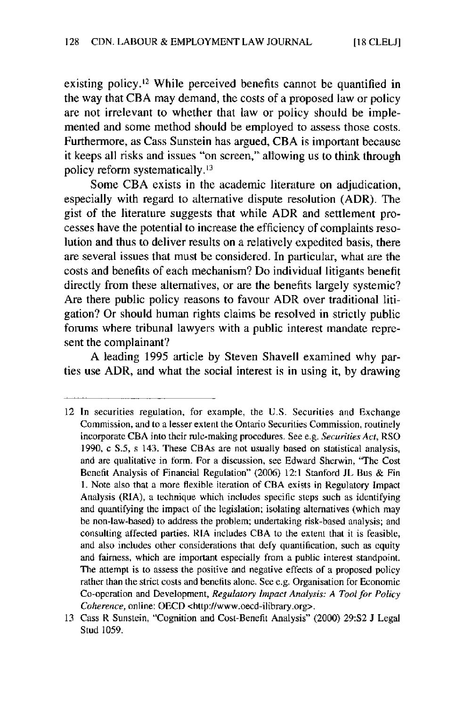**[18 CLEL1]**

existing policy.<sup>12</sup> While perceived benefits cannot be quantified in the way that **CBA** may demand, the costs of a proposed law or policy are not irrelevant to whether that law or policy should be implemented and some method should be employed to assess those costs. Furthermore, as Cass Sunstein has argued, **CBA** is important because it keeps all risks and issues "on screen," allowing us to think through policy reform systematically.<sup>13</sup>

Some **CBA** exists in the academic literature on adjudication, especially with regard to alternative dispute resolution (ADR). The gist of the literature suggests that while ADR and settlement processes have the potential to increase the efficiency of complaints resolution and thus to deliver results on a relatively expedited basis, there are several issues that must be considered. In particular, what are the costs and benefits of each mechanism? Do individual litigants benefit directly from these alternatives, or are the benefits largely systemic? Are there public policy reasons to favour ADR over traditional litigation? Or should human rights claims be resolved in strictly public forums where tribunal lawyers with a public interest mandate represent the complainant?

**A** leading **1995** article **by** Steven Shavell examined why parties use ADR, and what the social interest is in using it, **by** drawing

<sup>12</sup> In securities regulation, for example, the **U.S.** Securities and Exchange Commission, and to a lesser extent the Ontario Securities Commission, routinely incorporate **CBA** into their rule-making procedures. See e.g. *Securities Act,* RSO 1990, c S.5, s 143. These CBAs are not usually based on statistical analysis, and are qualitative in form. For a discussion, see Edward Sherwin, "The Cost Benefit Analysis of Financial Regulation" **(2006)** 12:1 Stanford **JL** Bus **&** Fin **1.** Note also that a more flexible iteration of **CBA** exists in Regulatory Impact Analysis (RIA), a technique which includes specific steps such as identifying and quantifying the impact of the legislation; isolating alternatives (which may be non-law-based) to address the problem; undertaking risk-based analysis; and consulting affected parties. RIA includes CRA to the extent that it is feasible, and also includes other considerations that defy quantification, such as equity and fairness, which are important especially from a public interest standpoint. The attempt is to assess the positive and negative effects of a proposed policy rather than the strict costs and benefits alone. See e.g. Organisation for Economic Co-operation and Development, *Regulatory Impact Analysis: A Tool for Policy Coherence,* online: **OECD** <http://www.oecd-ilibrary.org>.

**<sup>13</sup>** Cass R Sunstein, "Cognition and Cost-Benefit Analysis" (2000) **29:S2 J** Legal Stud **1059.**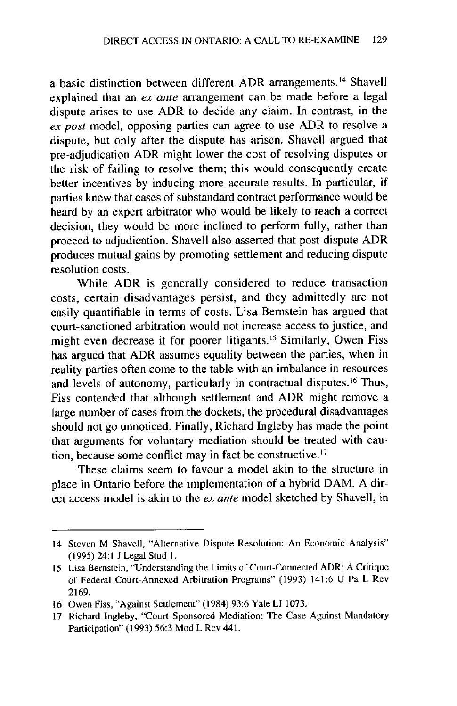a basic distinction between different ADR arrangements.<sup>14</sup> Shavell explained that an *ex ante* arrangement can be made before a legal dispute arises to use ADR to decide any claim. In contrast, in the *ex post* model, opposing parties can agree to use ADR to resolve a dispute, but only after the dispute has arisen. Shavell argued that pre-adjudication ADR might lower the cost of resolving disputes or the risk of failing to resolve them; this would consequently create better incentives **by** inducing more accurate results. In particular, if parties knew that cases of substandard contract performance would be heard **by** an expert arbitrator who would be likely to reach a correct decision, they would be more inclined to perform fully, rather than proceed to adjudication. Shavell also asserted that post-dispute ADR produces mutual gains **by** promoting settlement and reducing dispute resolution costs.

While ADR is generally considered to reduce transaction costs, certain disadvantages persist, and they admittedly are not easily quantifiable in terms of costs. Lisa Bernstein has argued that court-sanctioned arbitration would not increase access to justice, and might even decrease it for poorer litigants.<sup>15</sup> Similarly, Owen Fiss has argued that ADR assumes equality between the parties, when in reality parties often come to the table with an imbalance in resources and levels of autonomy, particularly in contractual disputes.<sup>16</sup> Thus, Fiss contended that although settlement and ADR might remove a large number of cases from the dockets, the procedural disadvantages should not go unnoticed. Finally, Richard Ingleby has made the point that arguments for voluntary mediation should be treated with caution, because some conflict may in fact be constructive.'<sup>7</sup>

These claims seem to favour a model akin to the structure in place in Ontario before the implementation of a hybrid DAM. **A** direct access model is akin to the *ex ante* model sketched **by** Shavell, in

<sup>14</sup> Steven M Shavell, "Alternative Dispute Resolution: An Economic Analysis" **(1995)** 24:1 **J** Legal Stud **1.**

<sup>15</sup> Lisa Bernstein, "Understanding the Limits of Court-Connected ADR: **A** Critique of Federal Court-Annexed Arbitration Programs" **(1993)** 141:6 **U** Pa L Rev **2169.**

**<sup>16</sup>** Owen Fiss, "Against Settlement" (1984) **93:6** Yale **LJ 1073.**

**<sup>17</sup>** Richard Ingleby, "Court Sponsored Mediation: The Case Against Mandatory Participation" **(1993) 56:3** Mod L Rev 441.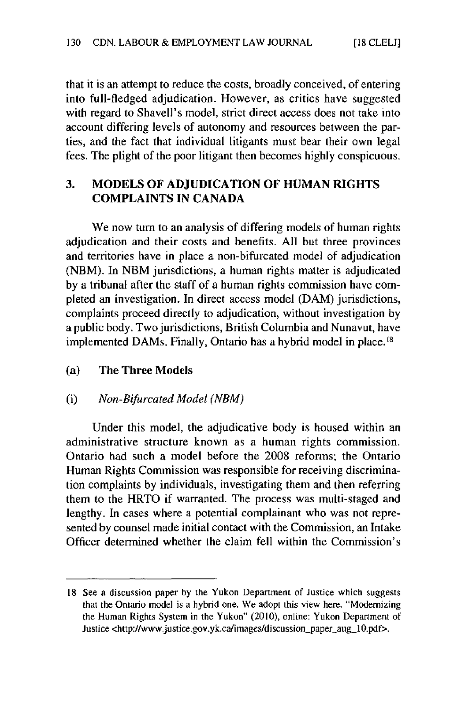that it is an attempt to reduce the costs, broadly conceived, of entering into full-fledged adjudication. However, as critics have suggested with regard to Shavell's model, strict direct access does not take into account differing levels of autonomy and resources between the parties, and the fact that individual litigants must bear their own legal fees. The plight of the poor litigant then becomes **highly** conspicuous.

# **3. MODELS** OF **ADJUDICATION OF HUMAN RIGHTS COMPLAINTS IN CANADA**

We now turn to an analysis of differing models of human rights adjudication and their costs and benefits. **All** but three provinces and territories have in place a non-bifurcated model of adjudication (NBM). In NBM jurisdictions, a human rights matter is adjudicated **by** a tribunal after the staff of a human rights commission have completed an investigation. In direct access model (DAM) jurisdictions, complaints proceed directly to adjudication, without investigation **by** a public body. Two jurisdictions, British Columbia and Nunavut, have implemented DAMs. Finally, Ontario has a hybrid model in place.

#### (a) The Three Models

#### (i) *Non-Bifurcated Model (NBM)*

Under this model, the adjudicative body is housed within an administrative structure known as a human rights commission. Ontario had such a model before the **2008** reforms; the Ontario Human Rights Commission was responsible for receiving discrimination complaints **by** individuals, investigating them and then referring them to the HRTO if warranted. The process was multi-staged and lengthy. In cases where a potential complainant who was not represented **by** counsel made initial contact with the Commission, an Intake Officer determined whether the claim **fell** within the Commission's

**<sup>18</sup>** See a discussion paper **by** the Yukon Department of Justice which suggests that the Ontario model is a hybrid one. We adopt this view here. "Modernizing the Human Rights System in the Yukon" (2010), online: Yukon Department of Justice <http://www.justice.gov.yk.ca/images/discussion\_paper\_aug\_10.pdf>.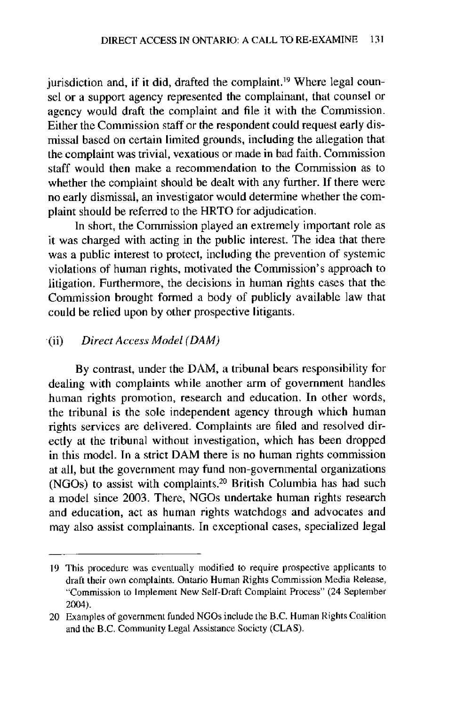jurisdiction and, if it did, drafted the complaint.<sup>19</sup> Where legal counsel or a support agency represented the complainant, that counsel or agency would draft the complaint and file it with the Commission. Either the Commission staff or the respondent could request early dismissal based on certain limited grounds, including the allegation that the complaint was trivial, vexatious or made in bad faith. Commission staff would then make a recommendation to the Commission as to whether the complaint should **be** dealt with any further. **If** there were no early dismissal, an investigator would determine whether the complaint should be referred to the HRTO for adjudication.

In short, the Commission played an extremely important role as it was charged with acting in the public interest. The idea that there was a public interest to protect, including the prevention of systemic violations of human rights, motivated the Commission's approach to litigation. Furthermore, the decisions in human rights cases that the Commission brought formed a body of publicly available law that could be relied upon **by** other prospective litigants.

#### *(ii) Direct Access Model (DAM)*

**By** contrast, under the DAM, a tribunal bears responsibility for dealing with complaints while another arm of government handles human rights promotion, research and education. In other words, the tribunal is the sole independent agency through which human rights services are delivered. Complaints are filed and resolved directly at the tribunal without investigation, which has been dropped in this model. In a strict DAM there is no human rights commission at all, but the government may fund non-governmental organizations (NGOs) to assist with complaints.<sup>20</sup> British Columbia has had such a model since **2003.** There, NGOs undertake human rights research and education, act as human rights watchdogs and advocates and may also assist complainants. In exceptional cases, specialized legal

**<sup>19</sup>** This procedure was eventually modified to require prospective applicants to draft their own complaints. Ontario Human Rights Commission Media Release, "Commission to implement New Self-Draft Complaint Process" (24 September 2004).

<sup>20</sup> Examples of government funded NGOs include the B.C. Human Rights Coalition and the B.C. Community Legal Assistance Society **(CLAS).**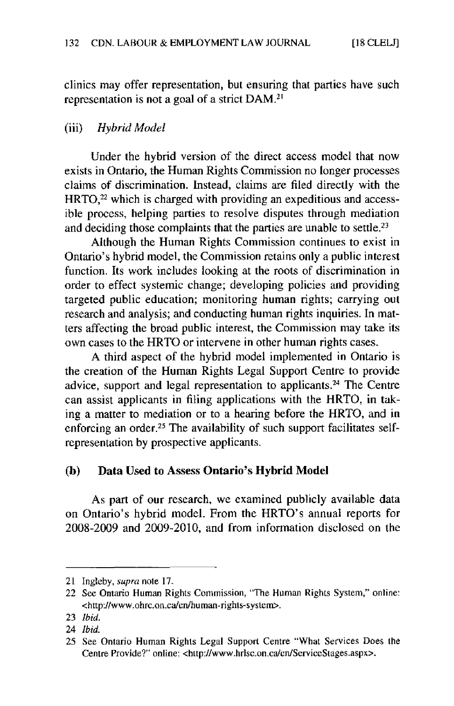clinics may offer representation, but ensuring that parties have such representation is not a **goal** of a strict DAM.<sup>2</sup>

### (iii) *Hybrid Model*

Under the hybrid version of the direct access model that now exists in Ontario, the Human Rights Commission no longer processes claims of discrimination. Instead, claims are filed directly with the  $HRTO<sub>2</sub><sup>22</sup>$  which is charged with providing an expeditious and accessible process, helping parties to resolve disputes through mediation and deciding those complaints that the parties are unable to settle.<sup>23</sup>

Although the Human Rights Commission continues to exist in Ontario's hybrid model, the Commission retains only a public interest function. Its work includes looking at the roots of discrimination in order to effect systemic change; developing policies and providing targeted public education; monitoring human rights; carrying out research and analysis; and conducting human rights inquiries. In matters affecting the broad public interest, the Commission may take its own cases to the HRTO or intervene in other human rights cases.

**A** third aspect of the hybrid model implemented in Ontario is the creation of the Human Rights Legal Support Centre to provide advice, support and legal representation to applicants.<sup>24</sup> The Centre can assist applicants in filing applications with the HRTO, in taking a matter to mediation or to a hearing before the HRTO, and in enforcing an order.<sup>25</sup> The availability of such support facilitates selfrepresentation **by** prospective applicants.

# **(b)** Data Used to Assess **Ontario's Hybrid Model**

As part of our research, we examined publicly available data on Ontario's hybrid model. From the HRTO's annual reports for **2008-2009** and **2009-2010,** and from information disclosed on the

<sup>21</sup> Ingleby, supra note **17.**

<sup>22</sup> See Ontario Human Rights Commission, "The Human Rights System," online: <http://www.ohrc.on.calen/human-rights-system>.

**<sup>23</sup>** *Ibid.*

<sup>24</sup> *Ibid.*

**<sup>25</sup>** See Ontario Human Rights Legal Support Centre "What Services Does the Centre Provide?" online: <http://www.hrlsc.on.calen/ServiceStages.aspx>.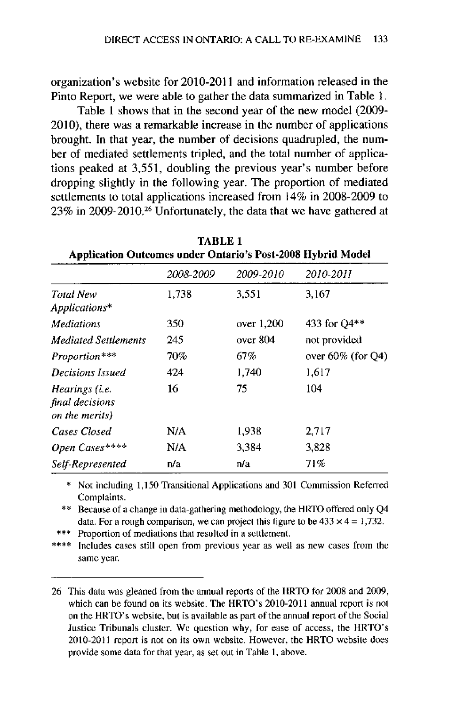organization's website for 2010-2011 and information released in the Pinto Report, we were able to gather the data summarized in Table **1.**

Table **I** shows that in the second year of the new model **(2009- 2010),** there was a remarkable increase in the number of applications brought. In that year, the number of decisions quadrupled, the number of mediated settlements tripled, and the total number of applications peaked at **3,551,** doubling the previous year's number before dropping slightly in the following year. The proportion of mediated settlements to total applications increased from 14% in **2008-2009** to **23%** in **2009-2010.26** Unfortunately, the data that we have gathered at

| тарыл т<br><b>Application Outcomes under Ontario's Post-2008 Hybrid Model</b> |           |                  |                           |  |  |
|-------------------------------------------------------------------------------|-----------|------------------|---------------------------|--|--|
|                                                                               | 2008-2009 | <i>2009-2010</i> | 2010-2011<br>3,167        |  |  |
| Total New<br>Applications*                                                    | 1,738     | 3.551            |                           |  |  |
| <i>Mediations</i>                                                             | 350.      | over 1,200       | 433 for $Q4**$            |  |  |
| <b>Mediated Settlements</b>                                                   | 245       | over 804         | not provided              |  |  |
| Proportion***                                                                 | 70%       | 67%              | over $60\%$ (for $O(4)$ ) |  |  |
| Decisions Issued                                                              | 424       | 1,740            | 1.617                     |  |  |
| Hearings (i.e.<br>final decisions<br>on the merits)                           | 16        | 75               | 104                       |  |  |
| Cases Closed                                                                  | N/A       | 1,938            | 2,717                     |  |  |
| Open Cases****                                                                | N/A       | 3,384            | 3,828                     |  |  |
| Self-Represented                                                              | n/a       | n/a              | 71%                       |  |  |

TABLE **1**

\* Not including **1,150** Transitional Applications and **301** Commission Referred Complaints.

\*\* Because of a change in data-gathering methodology, the HRTO offered only **Q4** data. For a rough comparison, we can project this figure to be  $433 \times 4 = 1,732$ .

\*\*\* Proportion of mediations that resulted in a settlement.

\*\*\*\* Includes cases still open from previous year as well as new cases from the same year.

**<sup>26</sup>** This data was gleaned from the annual reports of the HRTO for **2008** and **2009,** which can **be** found on its website. The HRTO's 2010-2011 annual report is not on the HRTO's website, but is available as part of the annual report of the Social Justice Tribunals cluster. We question why, for ease of access, the HRTO's 2010-2011 report is not on its own website. However, the HRTO website does provide some data for that year, as set out in Table **1,** above.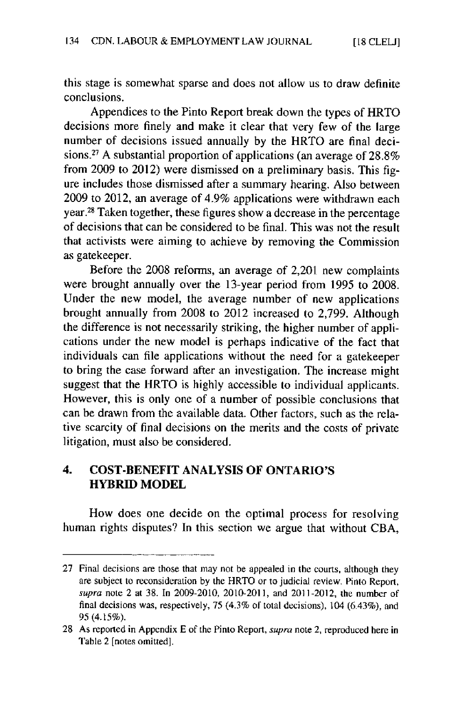this stage is somewhat sparse and does not allow us to draw definite conclusions.

Appendices to the Pinto Report break down the types of HRTO decisions more finely and make it clear that very few of the large number of decisions issued annually **by** the HRTO are final decisions. <sup>27</sup>**A** substantial proportion of applications (an average of **28.8%** from **2009** to 2012) were dismissed on a preliminary basis. This figure includes those dismissed after a summary hearing. Also between **2009** to 2012, an average of 4.9% applications were withdrawn each year?8 Taken together, these figures show a decrease in the percentage of decisions that can be considered to be final. This was not the result that activists were aiming to achieve **by** removing the Commission as gatekeeper.

Before the **2008** reforms, an average of 2,201 new complaints were brought annually over the 13-year period from **1995** to **2008.** Under the new model, the average number of new applications brought annually from 2008 to 2012 increased to **2,799.** Although the difference is not necessarily striking, the higher number of applications under the new model is perhaps indicative of the fact that individuals can file applications without the need for a gatekeeper to bring the case forward after an investigation. The increase might suggest that the HRTO is **highly** accessible to individual applicants. However, this is only one of a number of possible conclusions that can **be** drawn from the available data. Other factors, such as the relative scarcity of final decisions on the merits and the costs of private litigation, must also be considered.

# 4. **COST-BENEFIT ANALYSIS** OF **ONTARIO'S HYBRID** MODEL

How does one decide on the optimal process for resolving human rights disputes? In this section we argue that without **CBA,**

**<sup>27</sup>** Final decisions **are** those that may not be appealed in the courts, although they are subject to reconsideration **by** the HRTO or to judicial review. Pinto Report, **supra** note 2 at **38.** In **2009-2010,** 2010-2011, and 2011-2012, the number of final decisions was, respectively, **75** (4.3% of total decisions). 104 (6.43%), and **95** *(4.15%).*

**<sup>28</sup>** As reported in Appendix **E** of the Pinto Report, **supra** note 2, reproduced here in Table 2 [notes omitted].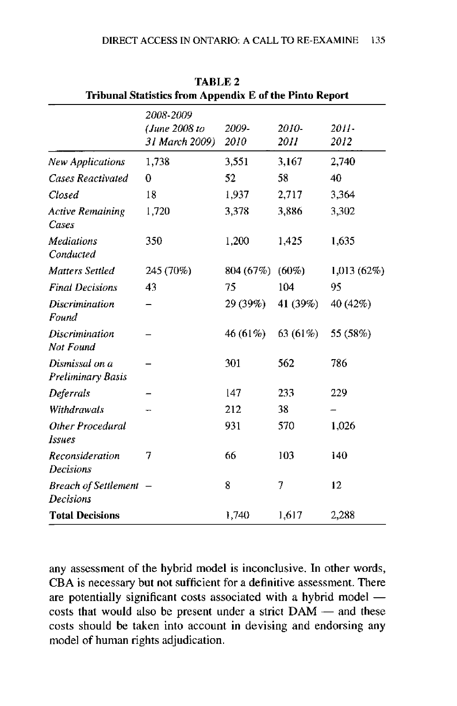| Tribunal Statistics from Appendix E of the Pinto Report |                                              |               |                      |                  |  |  |
|---------------------------------------------------------|----------------------------------------------|---------------|----------------------|------------------|--|--|
|                                                         | 2008-2009<br>(June 2008 to<br>31 March 2009) | 2009-<br>2010 | 2010-<br><i>2011</i> | $2011 -$<br>2012 |  |  |
| <b>New Applications</b>                                 | 1,738                                        | 3,551         | 3,167                | 2,740            |  |  |
| <b>Cases Reactivated</b>                                | 0                                            | 52            | 58                   | 40               |  |  |
| Closed                                                  | 18                                           | 1,937         | 2,717                | 3,364            |  |  |
| <b>Active Remaining</b><br>Cases                        | 1,720                                        | 3,378         | 3,886                | 3,302            |  |  |
| <b>Mediations</b><br>Conducted                          | 350                                          | 1,200         | 1,425                | 1,635            |  |  |
| <b>Matters Settled</b>                                  | 245 (70%)                                    | 804 (67%)     | $(60\%)$             | 1,013(62%)       |  |  |
| <b>Final Decisions</b>                                  | 43                                           | 75            | 104                  | 95               |  |  |
| <b>Discrimination</b><br>Found                          |                                              | 29 (39%) -    | 41 (39%)             | 40 (42%)         |  |  |
| Discrimination<br>Not Found                             |                                              | 46 (61%)      | 63 (61%)             | 55 (58%)         |  |  |
| Dismissal on a<br>Preliminary Basis                     |                                              | 301           | 562                  | 786              |  |  |
| Deferrals                                               |                                              | 147           | 233                  | 229              |  |  |
| Withdrawals                                             |                                              | 212           | 38                   |                  |  |  |
| Other Procedural<br>Issues                              |                                              | 931           | 570                  | 1,026            |  |  |
| <b>Reconsideration</b><br><b>Decisions</b>              | 7                                            | 66            | 103                  | 140              |  |  |
| <b>Breach of Settlement</b><br><b>Decisions</b>         |                                              | 8             | 7                    | 12               |  |  |
| <b>Total Decisions</b>                                  |                                              | 1,740         | 1,617                | 2,288            |  |  |

**TABLE 2**

any assessment of the hybrid model is inconclusive. In other words, **CBA** is necessary but not sufficient for a definitive assessment. There are potentially significant costs associated with a hybrid model costs that would also be present under a strict DAM - and these costs should **be** taken into account in devising and endorsing any model of human rights adjudication.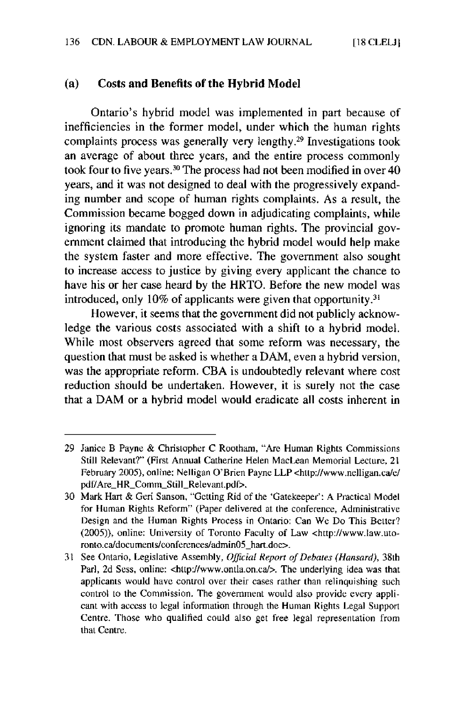#### **(a) Costs and Benefits of the Hybrid Model**

Ontario's hybrid model was implemented in part because of inefficiencies in the former model, under which the human rights complaints process was generally very lengthy.29 Investigations took an average of about three years, and the entire process commonly took four to five years.<sup>30</sup> The process had not been modified in over 40 years, and it was not designed to deal with the progressively expanding number and scope of human rights complaints. As a result, the Commission became bogged down in adjudicating complaints, while ignoring its mandate to promote human rights. The provincial government claimed that introducing the hybrid model would help make the system faster and more effective. The government also sought to increase access to justice **by** giving every applicant the chance to have his or her case heard **by** the HRTO. Before the new model was introduced, only **10%** of applicants were given that opportunity.<sup>31</sup>

However, it seems that the government did not publicly acknowledge the various costs associated with a shift to a hybrid model. While most observers agreed that some reform was necessary, the question that must be asked is whether a DAM, even a hybrid version, was the appropriate reform. **CBA** is undoubtedly relevant where cost reduction should be undertaken. However, it is surely not the case that a DAM or a hybrid model would eradicate all costs inherent in

**<sup>29</sup>** Janice B Payne **&** Christopher **C** Rootham, "Are Human Rights Commissions Still Relevant?" (First Annual Catherine Helen MacLean Memorial Lecture, 21 February **2005),** online: Nelligan O'Brien Payne LLP <http://www.nelligan.cale/ pdf/Are\_HR\_Comm\_Still\_Relevant.pdf>.

**<sup>30</sup>** Mark Hart **&** Geri Sanson, "Getting Rid of the 'Gatekeeper': **A** Practical Model for Human Rights Reform" (Paper delivered at the conference, Administrative Design and the Human Rights Process in Ontario: Can We Do This Better? *(2005)),* online: University of Toronto Faculty of Law <http://www.law.utoronto.ca/documents/conferences/admin05\_hart.doc>.

**<sup>31</sup>** See Ontario, Legislative Assembly, *Official Report of Debates (Hansard), 38th* Parl, 2d Sess, online: <http://www.ontla.on.ca/>. The underlying idea was that applicants would have control over their cases rather than relinquishing such control to the Commission. The government would also provide every applicant with access to legal information through the Human Rights Legal Support Centre. Those who qualified could also get free legal representation from that Centre.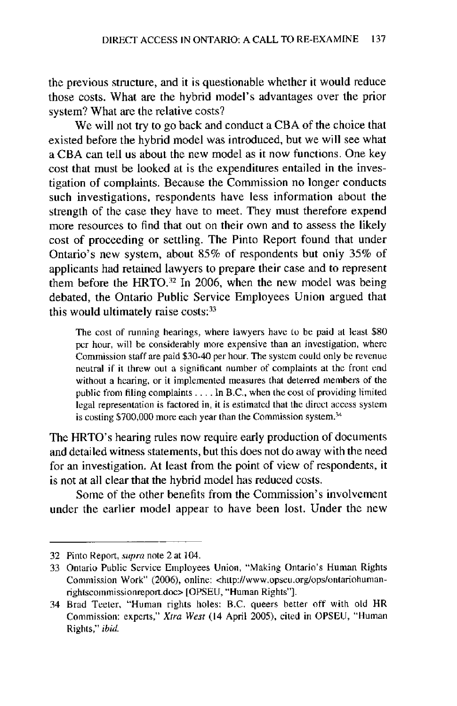the previous structure, and it is questionable whether it would reduce those costs. What are the hybrid model's advantages over the prior system? What are the relative costs?

We will not try to go back and conduct a **CBA** of the choice that existed before the hybrid model was introduced, but we will see what a **CBA** can tell us about the new model as it now functions. One key cost that must be looked at is the expenditures entailed in the investigation of complaints. Because the Commission no longer conducts such investigations, respondents have less information about the strength of the case they have to meet. They must therefore expend more resources to find that out on their own and to assess the likely cost of proceeding or settling. The Pinto Report found that under Ontario's new system, about **85%** of respondents but only **35%** of applicants had retained lawyers to prepare their case and to represent them before the HRTO.<sup>32</sup> In 2006, when the new model was being debated, the Ontario Public Service Employees Union argued that this would ultimately raise  $costs:$ <sup>33</sup>

The cost of running hearings, where lawyers have to **be** paid at least **\$80** per hour, will be considerably more expensive than an investigation, where Commission staff are paid \$30-40 per hour. The system could only be revenue neutral if it threw out a significant number of complaints at the front end without a hearing, or it implemented measures that deterred members of the public from filing complaints **..** . **.** In B.C., when the cost of providing limited legal representation is factored in, it is estimated that the direct access system is costing **\$700,000** more each year than the Commission system?

The HRTO's hearing rules now require early production of documents and detailed witness statements, but this does not do away with the need for an investigation. At least from the point of view of respondents, it is not at all clear that the hybrid model has reduced costs.

Some of the other benefits from the Commission's involvement under the earlier model appear to have been lost. Under the new

**<sup>32</sup>** Pinto Report, **supra** note 2 at 104.

**<sup>33</sup>** Ontario Public Service Employees Union, "Making Ontario's Human Rights Commission Work" **(2006),** online: <http://www.opseu.org/opslontariohumanrightscoimissionreport.doc> **[OPSEU,** "Human Rights"].

<sup>34</sup> Brad Teeter, "Human rights holes: B.C. queers better off with old HR Commission: experts," *Xtra West* (14 April **2005),** cited in **OPSEU,** "Human Rights," *ibid.*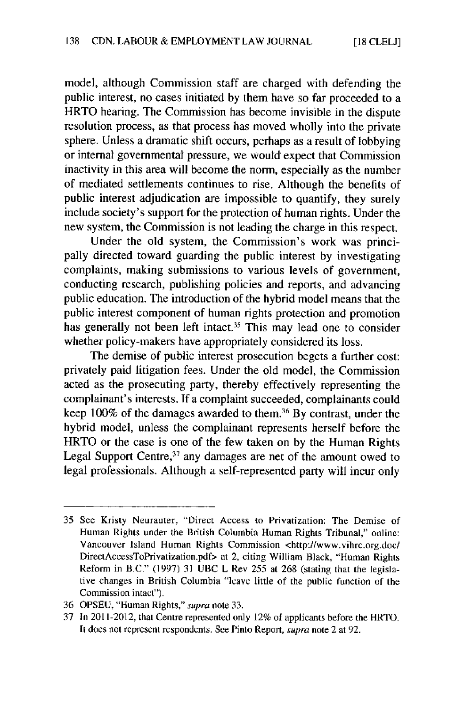model, although Commission staff are charged with defending the public interest, no cases initiated **by** them have so far proceeded to a HRTO hearing. The Commission has become invisible in the dispute resolution process, as that process has moved wholly into the private sphere. Unless a dramatic shift occurs, perhaps as a result of lobbying or internal governmental pressure, we would expect that Commission inactivity in this area will become the norm, especially as the number of mediated settlements continues to rise. Although the benefits of public interest adjudication are impossible to quantify, they surely include society's support for the protection of human rights. Under the new system, the Commission is not leading the charge in this respect.

Under the old system, the Commission's work was principally directed toward guarding the public interest **by** investigating complaints, making submissions to various levels of government, conducting research, publishing policies and reports, and advancing public education. The introduction of the hybrid model means that the public interest component of human rights protection and promotion has generally not been left intact.<sup>35</sup> This may lead one to consider whether policy-makers have appropriately considered its loss.

The demise of public interest prosecution begets a further cost: privately paid litigation fees. Under the old model, the Commission acted as the prosecuting party, thereby effectively representing the complainant's interests. **If** a complaint succeeded, complainants could keep **100%** of the damages awarded to them.36 **By** contrast, under the hybrid model, unless the complainant represents herself before the HRTO or the case is one of the few taken on **by** the Human Rights Legal Support Centre,<sup>37</sup> any damages are net of the amount owed to legal professionals. Although a self-represented party will incur only

**<sup>35</sup>** See Kristy Neurauter, "Direct Access to Privatization: The Demise of Human Rights under the British Columbia Human Rights Tribunal," online: Vancouver Island Human Rights Commission <http://www.vihrc.org.doc/ DirecLAccessToPrivatization.pdf> at 2, citing William Black, "Human Rights Reform in B.C." **(1997) 31 UBC** L Rev **255** at **268** (stating that the legislative changes in British Columbia "leave little of the public function of the Commission intact").

**<sup>36</sup> OPSEU,** "Human Rights," supra note **33.**

**<sup>37</sup>** In 2011-2012, that Centre represented only 12% of applicants before the HRTO. II does not represent respondents. See Pinto Report, supra note 2 at **92.**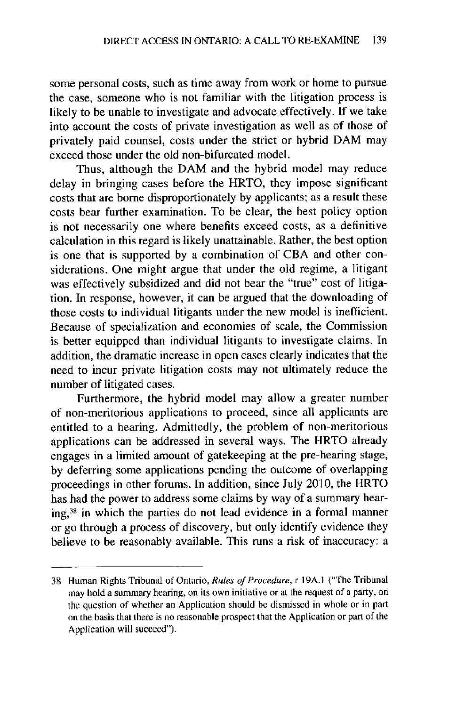some personal costs, such as time away from work or home to pursue the case, someone who is not familiar with the litigation process is likely to be unable to investigate and advocate effectively. **If** we take into account the costs of private investigation as well as of those of privately paid counsel, costs under the strict or hybrid DAM may exceed those under the old non-bifurcated model.

Thus, although the DAM and the hybrid model may reduce delay in bringing cases before the HRTO, they impose significant costs that are borne disproportionately **by** applicants; as a result these costs bear further examination. To **be** clear, the best policy option is not necessarily one where benefits exceed costs, as a definitive calculation in this regard is likely unattainable. Rather, the best option is one that is supported **by** a combination of **CBA** and other considerations. One might argue that under the old regime, a litigant was effectively subsidized and did not bear the "true" cost of litigation. In response, however, it can be argued that the downloading of those costs to individual litigants under the new model is inefficient. Because of specialization and economies of scale, the Commission is better equipped than individual litigants to investigate claims, In addition, the dramatic increase in open cases clearly indicates that the need to incur private litigation costs may not ultimately reduce the number of litigated cases.

Furthermore, the hybrid model may allow a greater number of non-meritorious applications to proceed, since all applicants are entitled to a hearing. Admittedly, the problem of non-meritorious applications can be addressed in several ways. The HRTO already engages in a limited amount of gatekeeping at the pre-hearing stage, **by** deferring some applications pending the outcome of overlapping proceedings in other forums. In addition, since July **2010,** the HRTO has had the power to address some claims **by** way of a summary hearing,<sup>38</sup> in which the parties do not lead evidence in a formal manner or go through a process of discovery, but only identify evidence they believe to be reasonably available. This runs a risk of inaccuracy: a

**<sup>38</sup>** Human Rights Tribunal of Ontario, Rules of Procedure, *r* **19A.I** ("The Tribunal may hold a summary hearing, on its own initiative or at the request of a party, on the question of whether an Application should **be** dismissed in whole or in **part** on the basis that there is no reasonable prospect that the Application or part of the Application will succeed").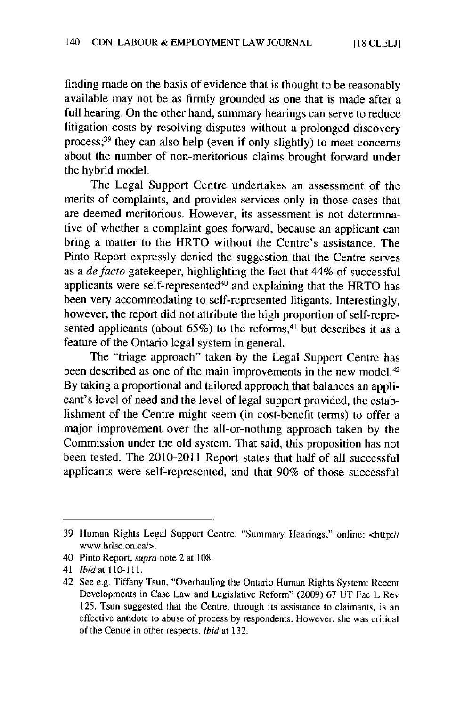**[ 18 CLELJ]**

finding made on the basis of evidence that is thought to be reasonably available may not be as firmly grounded as one that is made after a full hearing. On the other hand, summary hearings can serve to reduce litigation costs **by** resolving disputes without a prolonged discovery process;<sup>39</sup> they can also help (even if only slightly) to meet concerns about the number of non-meritorious claims brought forward under the hybrid model.

The Legal Support Centre undertakes an assessment of the merits of complaints, and provides services only in those cases that are deemed meritorious. However, its assessment is not determinative of whether a complaint goes forward, because an applicant can bring a matter to the HRTO without the Centre's assistance. The Pinto Report expressly denied the suggestion that the Centre serves as a de facto gatekeeper, highlighting the fact that 44% of successful applicants were self-represented40 and explaining that the HRTO has been very accommodating to self-represented litigants. Interestingly, however, the report did not attribute the high proportion of self-represented applicants (about  $65\%$ ) to the reforms,<sup>41</sup> but describes it as a feature of the Ontario legal system in general.

The "triage approach" taken **by** the Legal Support Centre has been described as one of the main improvements in the new model.<sup>42</sup> **By** taking a proportional and tailored approach that balances an applicant's level of need and the level of legal support provided, the establishment of the Centre might seem (in cost-benefit terms) to offer a major improvement over the all-or-nothing approach taken **by** the Commission under the old system. That said, this proposition has not been tested. The 2010-2011 Report states that half of all successful applicants were self-represented, and that **90%** of those successful

**<sup>39</sup>** Human Rights Legal Support Centre, "Summary Hearings," online: *<http://* www.hrisc.on.cal>.

<sup>40</sup> Pinto Report, supra note 2 at **108.**

<sup>41</sup> ibid at **110-111.**

<sup>42</sup> **See e.g.** Tiffany Tsun, "Overhauling the Ontario Human Rights System: Recent Developments in Case Law and Legislative Reform" **(2009) 67 UT** Fac L Rev 125. Tsun suggested that the Centre, through its assistance to claimants, is an effective antidote to abuse of process **by** respondents. However, she was critical of the Centre in other respects. Ibid at **132.**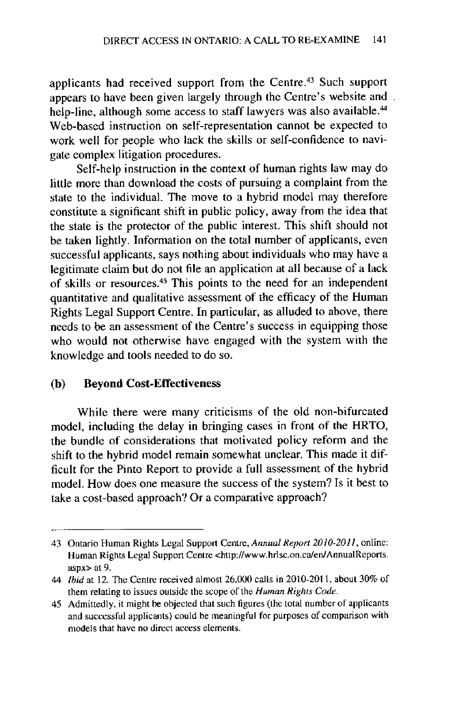applicants had received support from the Centre.<sup>43</sup> Such support appears to have been given largely through the Centre's website and. help-line, although some access to staff lawyers was also available.<sup>44</sup> Web-based instruction on self-representation cannot be expected to work well for people who lack the skills or self-confidence to navigate complex litigation procedures.

Self-help instruction in the context of human rights law may do little more than download the costs of pursuing a complaint from the state to the individual. The move to a hybrid model may therefore constitute a significant shift in public policy, away from the idea that the state is the protector of the public interest. This shift should not **be** taken lightly. Information on the total number of applicants, even successful applicants, says nothing about individuals who may have a legitimate claim but do not file an application at all because of a lack of skills or resources.<sup>45</sup> This points to the need for an independen quantitative and qualitative assessment of the efficacy of the Human Rights Legal Support Centre. In particular, as alluded to above, there needs to be an assessment of the Centre's success in equipping those who would not otherwise have engaged with the system with the knowledge and tools needed to do so.

#### **(b)** Beyond Cost-Effectiveness

While there were many criticisms of the old non-bifurcated model, including the delay in bringing cases in front of the HRTO, the bundle of considerations that motivated policy reform and the shift to the hybrid model remain somewhat unclear. This made it difficult for the Pinto Report to provide a full assessment of the hybrid model. How does one measure the success of the system? Is it best to take a cost-based approach? Or a comparative approach?

<sup>43</sup> Ontario Human Rights Legal Support Centre, *Annual Report 2010-2011,* online: Human Rights Legal Support Centre <http://www.hrlsc.on.calen/AnnualReports. aspx> at *9.*

<sup>44</sup> *Ibid* at 12. The Centre received almost **26,000** calls in 2010-2011, about **30%** of them relating to issues outside the scope of the *Human Rights Code.*

<sup>45</sup> Admittedly, it might be objected that such figures (the total number **of** applicants and successful applicants) could be meaningful for purposes of comparison with models that have no direct access elements.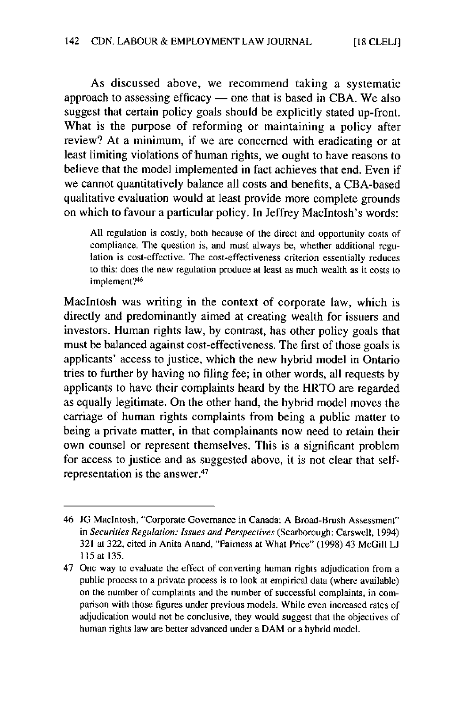As discussed above, we recommend taking a systematic approach to assessing efficacy **-** one that is based in **CBA.** We also suggest that certain policy goals should be explicitly stated up-front. What is the purpose of reforming or maintaining a policy after review? At a minimum, if we are concerned with eradicating or at least limiting violations of human rights, we ought to have reasons to believe that the model implemented in fact achieves that end. Even if we cannot quantitatively balance all costs and benefits, a CBA-based qualitative evaluation would at least provide more complete grounds on which to favour a particular policy. In Jeffrey MacIntosh's words:

**All** regulation is costly, both because of the direct and opportunity costs of compliance. The question is, and must *always* **be,** whether additional regulation is cost-effective. The cost-effectiveness criterion essentially reduces to this: does the new regulation produce at least as much wealth as it costs to implement?46

MacIntosh was writing in the context of corporate law, which is directly and predominantly aimed at creating wealth for issuers and investors. Human rights law, **by** contrast, has other policy goals that must **be** balanced against cost-effectiveness. The first of those goals is applicants' access to justice, which the new hybrid model in Ontario tries to further **by** having no filing fee; in other words, all requests **by** applicants to have their complaints heard **by** the HRTO are regarded as equally legitimate. On the other hand, the **hybrid** model moves the carriage of human rights complaints from being a public matter to being a private matter, in that complainants now need to retain their own counsel or represent themselves. This is a significant problem for access to justice and as suggested above, it is not clear that selfrepresentation is the answer.<sup>47</sup>

<sup>46</sup> JG Macintosh, "Corporate Governance in Canada: **A** Broad-Brush Assessment" *in Securities Regulation: Issues and Perspectives* (Scarborough: Carswell, 1994) **321** at **322,** cited in Anita Anand, "Fairness at What Price" (1998) 43 **McGill L 115** at **135.**

<sup>47</sup> One way to evaluate the effect of converting human rights adjudication from a public process to a private process is to look at empirical data (where available) on the number of complaints and the number of successful complaints, in comparison with those figures under previous models. While even increased rates of adjudication would not be conclusive, they would suggest that the objectives of human rights law are better advanced under a DAM or a hybrid model.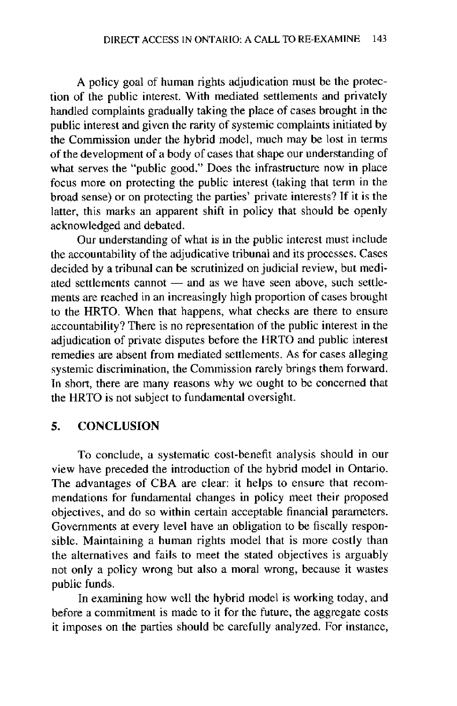**A** policy goal of human rights adjudication must be the protection of the public interest. With mediated settlements and privately handled complaints gradually taking the place of cases brought in the public interest and given the rarity of systemic complaints initiated **by** the Commission under the hybrid model, much may be lost in terms of the development of a body of cases that shape our understanding of what serves the "public good." Does the infrastructure now in place focus more on protecting the public interest (taking that term in the broad sense) or on protecting the parties' private interests? **If** it is the latter, this marks an apparent shift in policy that should be openly acknowledged and debated.

Our understanding of what is in the public interest must include the accountability of the adjudicative tribunal and its processes. Cases decided **by** a tribunal can be scrutinized on judicial review, but mediated settlements cannot - and as we have seen above, such settlements are reached in an increasingly high proportion of cases brought to the HRTO. When that happens, what checks are there to ensure accountability? There is no representation of the public interest in the adjudication of private disputes before the HRTO and public interest remedies are absent from mediated settlements. As for cases alleging systemic discrimination, the Commission rarely brings them forward. In short, there are many reasons why we ought to be concerned that the HRTO is not subject to fundamental oversight.

#### **5. CONCLUSION**

To conclude, a systematic cost-benefit analysis should in our view have preceded the introduction of the hybrid model in Ontario. The advantages of **CBA** are clear: it helps to ensure that recommendations for fundamental changes in policy meet their proposed objectives, and do so within certain acceptable financial parameters. Governments at every level have an obligation to be fiscally responsible. Maintaining a human rights model that is more costly than the alternatives and fails to meet the stated objectives is arguably not only a policy wrong but also a moral wrong, because it wastes public funds.

In examining how well the hybrid model is working today, and before a commitment is made to it for the future, the aggregate costs it imposes on the parties should **be** carefully analyzed. For instance,